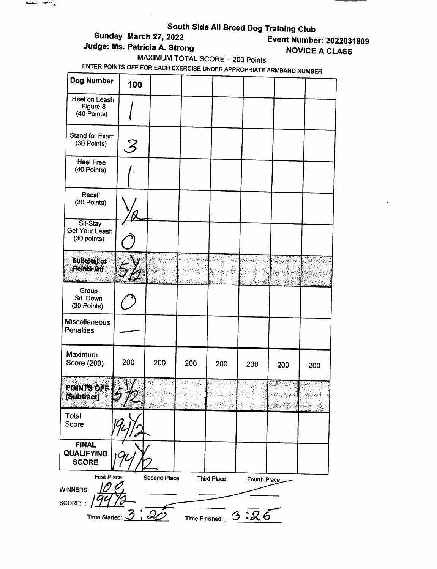| Judge: Ms. Patricia A. Strong                                       |                             | Sunday March 27, 2022<br>MAXIMUM TOTAL SCORE - 200 Points |                                                                                                                                                                                                                                                                                                                                                                                                  | South Side All Breed Dog Training Club                     |                                                    |                                        | <b>Event Number: 2022031809</b><br><b>NOVICE A CLASS</b> |
|---------------------------------------------------------------------|-----------------------------|-----------------------------------------------------------|--------------------------------------------------------------------------------------------------------------------------------------------------------------------------------------------------------------------------------------------------------------------------------------------------------------------------------------------------------------------------------------------------|------------------------------------------------------------|----------------------------------------------------|----------------------------------------|----------------------------------------------------------|
| ENTER POINTS OFF FOR EACH EXERCISE UNDER APPROPRIATE ARMBAND NUMBER |                             |                                                           |                                                                                                                                                                                                                                                                                                                                                                                                  |                                                            |                                                    |                                        |                                                          |
| Dog Number                                                          | 100                         |                                                           |                                                                                                                                                                                                                                                                                                                                                                                                  |                                                            |                                                    |                                        |                                                          |
| Heel on Leash<br>Figure 8<br>(40 Points)                            |                             |                                                           |                                                                                                                                                                                                                                                                                                                                                                                                  |                                                            |                                                    |                                        |                                                          |
| Stand for Exam<br>(30 Points)                                       | ${\cal S}$                  |                                                           |                                                                                                                                                                                                                                                                                                                                                                                                  |                                                            |                                                    |                                        |                                                          |
| <b>Heel Free</b><br>(40 Points)                                     |                             |                                                           |                                                                                                                                                                                                                                                                                                                                                                                                  |                                                            |                                                    |                                        |                                                          |
| Recall<br>(30 Points)                                               |                             |                                                           |                                                                                                                                                                                                                                                                                                                                                                                                  |                                                            |                                                    |                                        |                                                          |
| Sit-Stay<br><b>Get Your Leash</b><br>(30 points)                    |                             |                                                           |                                                                                                                                                                                                                                                                                                                                                                                                  |                                                            |                                                    |                                        |                                                          |
| <b>Subtotal of</b><br>Points Off                                    |                             |                                                           |                                                                                                                                                                                                                                                                                                                                                                                                  |                                                            |                                                    | Andrew B                               | 网络波<br>计磁动                                               |
| Group<br>Sit Down<br>(30 Points)                                    |                             |                                                           |                                                                                                                                                                                                                                                                                                                                                                                                  |                                                            |                                                    |                                        |                                                          |
| <b>Miscellaneous</b><br><b>Penalties</b>                            |                             |                                                           |                                                                                                                                                                                                                                                                                                                                                                                                  |                                                            |                                                    |                                        |                                                          |
| Maximum<br>Score (200)                                              | 200                         | 200                                                       | 200                                                                                                                                                                                                                                                                                                                                                                                              | 200                                                        | 200                                                | 200                                    | 200                                                      |
| <b>POINTS OFF</b><br>(Subtract)                                     |                             |                                                           | $\label{eq:2} \frac{1}{\sqrt{2}}\sum_{i=1}^{2}\frac{1}{\sqrt{2}}\sum_{i=1}^{2}\frac{1}{\sqrt{2}}\sum_{i=1}^{2}\frac{1}{\sqrt{2}}\sum_{i=1}^{2}\frac{1}{\sqrt{2}}\sum_{i=1}^{2}\frac{1}{\sqrt{2}}\sum_{i=1}^{2}\frac{1}{\sqrt{2}}\sum_{i=1}^{2}\frac{1}{\sqrt{2}}\sum_{i=1}^{2}\frac{1}{\sqrt{2}}\sum_{i=1}^{2}\frac{1}{\sqrt{2}}\sum_{i=1}^{2}\frac{1}{\sqrt{2}}\sum_{i=1}^{2}\frac{1$<br>Ar Mar | $\mathcal{L}_{\text{MSE}}^{(1)}$<br>Ξ.<br>$1.16$ George 20 | $\frac{1}{2} \sum_{i=1}^n \frac{1}{2}$<br>24,57 원) | $\mathbb{R}^3$<br>73 Top Anglots<br>Ž. | eleittyjen teräty                                        |
| Total<br>Score                                                      |                             |                                                           |                                                                                                                                                                                                                                                                                                                                                                                                  |                                                            |                                                    |                                        |                                                          |
| <b>FINAL</b><br><b>QUALIFYING</b><br><b>SCORE</b>                   |                             |                                                           |                                                                                                                                                                                                                                                                                                                                                                                                  |                                                            |                                                    |                                        |                                                          |
| <b>First Place</b><br><b>WINNERS:</b>                               |                             | Second Place                                              |                                                                                                                                                                                                                                                                                                                                                                                                  | <b>Third Place</b>                                         | Fourth Place                                       |                                        |                                                          |
| SCORE: :                                                            | Time Started: $\mathcal{Q}$ |                                                           | Time Finished:                                                                                                                                                                                                                                                                                                                                                                                   |                                                            | 3:26                                               |                                        |                                                          |

--

-

 $\sim$ 

 $\overline{\cdots}$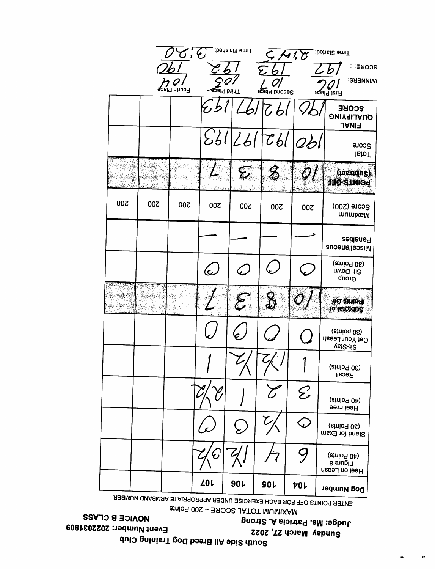# Club Training Dog Breed All Side South 2022 Number: Event 27, 2022<br>Philosophy and Sunday of Care Sunday 27. March Sunday 2022 did all the Strong A. Strong A. Strong A. Strong A. Patricia Movice B. CLASS 3031809<br>
Strong A. Patricia March 27, 2022<br>
Strong A. Patricia March 27, 2022<br>
Strong A. Patricia March 27, 2022<br>
Strong A. Patricia March 27, 20

Point SCORE - 200 Point

 $\sim$ 

|     |                  | نرمع أحمح<br>ਵ੨ਙ੍ਰੀ dhuo∃ |                    | Time Finished:<br><u>ap</u> siq biiriT | ≻.<br>သူ့၏ bhooe2   | 11. G                                                  | Time Started:<br>SCORE<br><b>WINNERS:</b><br>લ્Qાવ }ટાi∃                            |
|-----|------------------|---------------------------|--------------------|----------------------------------------|---------------------|--------------------------------------------------------|-------------------------------------------------------------------------------------|
|     |                  |                           |                    |                                        | 6                   |                                                        | SCORE<br><b>QUALIFYING</b><br><b>FINAL</b>                                          |
|     |                  |                           |                    | 231/261                                |                     | $\mathcal{C}b$ l $ o b $                               | Score<br><b>letoT</b>                                                               |
|     |                  |                           |                    | $\boldsymbol{\mathcal{E}}$             | $\pmb{\mathscr{Z}}$ |                                                        | (joe.gqng)<br><b>POINTS OFF</b>                                                     |
| 200 | 200              | 200                       | 00Z                | 200                                    | 200                 | 200                                                    | Score (200)<br>mumixaM                                                              |
|     |                  |                           |                    |                                        |                     |                                                        | Penalties<br>Miscellaneous                                                          |
|     |                  |                           | $\epsilon$         |                                        |                     |                                                        | (anio <sub>d</sub> 0 <sub>E</sub> )<br>Sit Down<br>Group                            |
|     | 鹨<br><b>KAWE</b> | S.                        |                    | 8                                      | $\frac{\Omega}{2}$  |                                                        | <b>To anion</b><br><b>To Imordue</b>                                                |
|     |                  |                           |                    |                                        |                     |                                                        | (anioq 0 <sub>E</sub> )<br>Get Your Leash<br>Sit-Stay                               |
|     |                  |                           |                    |                                        |                     |                                                        | (atrio <sup>q</sup> 0 <sub>E</sub> )<br>Recall                                      |
|     |                  |                           |                    |                                        |                     | $\mathcal{E}% _{G}^{X\left( t\right) }\left( t\right)$ | (atnio <sub>d 04)</sub><br>Heel Free                                                |
|     |                  |                           |                    |                                        |                     |                                                        | (atnio <sub>d</sub> 0 <sub>E</sub> )<br>Stand for Exam                              |
|     |                  |                           | $\bm{\mathcal{C}}$ |                                        |                     |                                                        | (anio <sup>d</sup> 0 <sup>p</sup> )<br><b>B</b> surgi <sup>1</sup><br>Heel on Leash |
|     |                  |                           | <b>ZOL</b>         | 90L                                    | <b>SOL</b>          | 70L                                                    | Dog Number                                                                          |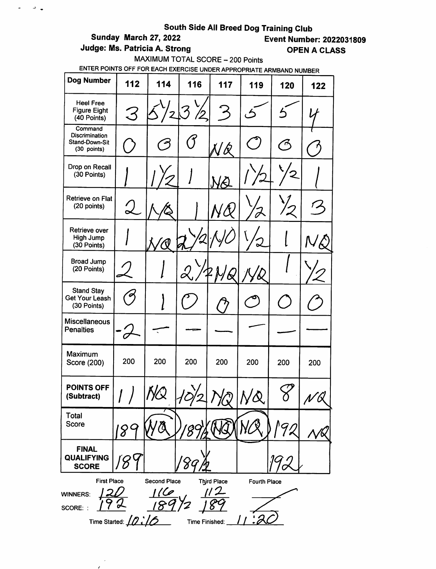$\overline{\phantom{a}}$  $\mathcal{L}$ 

 $\omega_{\rm{eff}}$  and  $\omega_{\rm{eff}}$ 

Judge: Ms. Patricia A. Strong **COPEN A CLASS** 

# **Event Number: 2022031809**

MAXIMUM TOTAL SCORE - 200 Points

| Dog Number                                                 | 112                 | 114                            | 116                    | 117               | 119          | 120        | 122 |
|------------------------------------------------------------|---------------------|--------------------------------|------------------------|-------------------|--------------|------------|-----|
| <b>Heel Free</b><br><b>Figure Eight</b><br>(40 Points)     | 3                   |                                | $^{\prime\prime\!\!}2$ | 3                 | ڪ            | Ś          |     |
| Command<br>Discrimination<br>Stand-Down-Sit<br>(30 points) |                     | حم                             | ้ 1ั                   | $\cancel{\alpha}$ |              | $\epsilon$ |     |
| Drop on Recall<br>(30 Points)                              |                     |                                |                        | <u>VQ</u>         |              |            |     |
| Retrieve on Flat<br>(20 points)                            |                     |                                |                        |                   |              |            |     |
| Retrieve over<br>High Jump<br>(30 Points)                  |                     |                                |                        |                   | ້            |            |     |
| <b>Broad Jump</b><br>(20 Points)                           |                     |                                |                        |                   |              |            |     |
| <b>Stand Stay</b><br>Get Your Leash<br>(30 Points)         |                     |                                |                        |                   |              |            |     |
| <b>Miscellaneous</b><br><b>Penalties</b>                   |                     |                                |                        |                   |              |            |     |
| Maximum<br>Score (200)                                     | 200                 | 200                            | 200                    | 200               | 200          | 200        | 200 |
| <b>POINTS OFF</b><br>(Subtract)                            |                     | <u> 1 j<math>\infty</math></u> |                        |                   | $N\alpha$    |            | r M |
| Total<br>Score                                             | 8                   |                                |                        |                   |              |            |     |
| <b>FINAL</b><br><b>QUALIFYING</b><br><b>SCORE</b>          |                     |                                |                        |                   |              |            |     |
| <b>First Place</b><br><b>WINNERS:</b><br>SCORE: :          | Time Started: 10:16 | Second Place<br>[C             | Time Finished:         | Third Place       | Fourth Place |            |     |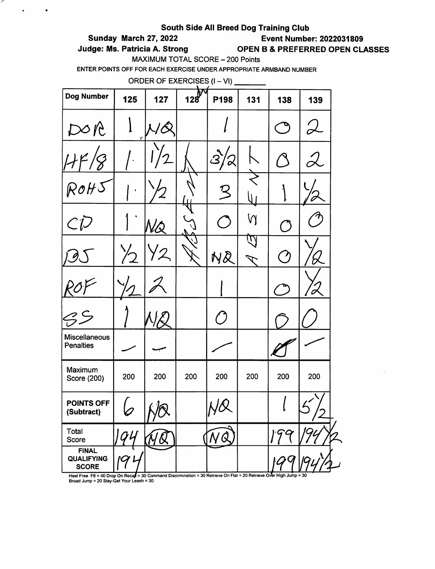### South Side All Breed Dog Training Club

# Sunday March 27, 2022 Event Number: 2022031809

,

 $\ddot{\bullet}$ 

 $\bullet$ 

# Judge: Ms. Patricia A. Strong **OPEN B & PREFERRED OPEN CLASSES**

MAXIMUM TOTAL SCORE - 200 Points

ENTER POINTS OFF FOR EACH EXERCISE UNDER APPROPRIATE ARMBAND NUMBER

|                                                   | ORDER OF EXERCISES (I - VI) |     |     |      |     |                          |                                                                                                                 |  |  |  |  |
|---------------------------------------------------|-----------------------------|-----|-----|------|-----|--------------------------|-----------------------------------------------------------------------------------------------------------------|--|--|--|--|
| Dog Number                                        | 125                         | 127 | 128 | P198 | 131 | 138                      | 139                                                                                                             |  |  |  |  |
| DQ                                                | C                           |     |     |      |     |                          |                                                                                                                 |  |  |  |  |
|                                                   |                             |     |     |      |     | $\bigcap$                | $\mathcal{L}% _{G}=\mathcal{L}_{H}\!\left( a,b\right) ,\ \mathcal{L}_{H}=\mathcal{L}_{H} \!\left( a,b\right) ,$ |  |  |  |  |
| ROH                                               |                             |     |     |      |     |                          |                                                                                                                 |  |  |  |  |
| $C\bar{V}$                                        |                             |     |     |      | Ŋ   | $\circlearrowleft$       |                                                                                                                 |  |  |  |  |
|                                                   | $\frac{1}{2}$               |     |     | NQ   | W   | $\overline{\phantom{a}}$ |                                                                                                                 |  |  |  |  |
|                                                   |                             |     |     |      |     |                          |                                                                                                                 |  |  |  |  |
|                                                   |                             |     |     |      |     |                          |                                                                                                                 |  |  |  |  |
| Miscellaneous<br><b>Penalties</b>                 |                             |     |     |      |     |                          |                                                                                                                 |  |  |  |  |
| Maximum<br>Score (200)                            | 200                         | 200 | 200 | 200  | 200 | 200                      | 200                                                                                                             |  |  |  |  |
| POINTS OFF<br>(Subtract)                          |                             |     |     |      |     |                          | $\sqrt{}$                                                                                                       |  |  |  |  |
| Total<br>Score                                    |                             |     |     |      |     |                          |                                                                                                                 |  |  |  |  |
| <b>FINAL</b><br><b>QUALIFYING</b><br><b>SCORE</b> |                             |     |     |      |     |                          |                                                                                                                 |  |  |  |  |

Heel Free F8 = 40 Drop On Recal = 30 Command Discrimination = 30 Retrieve On Flat = 20 Retrieve Over High Jump = 30<br>Broad Jump = 20 Stay-Get Your Leash = 30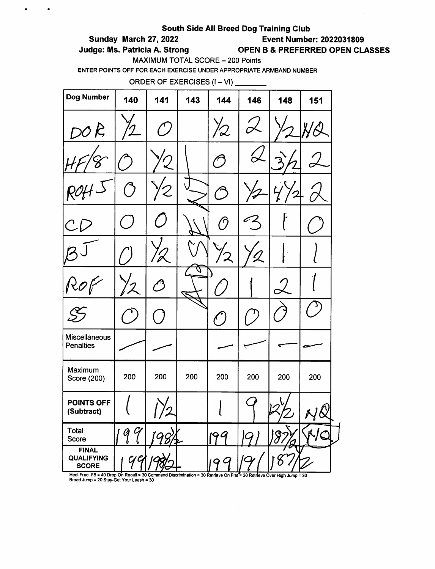### South Side All Breed Dog Training Club

# Sunday March 27, 2022 Event Number: 2022031809

 $\bullet$ 

 $\bullet$ 

Judge: Ms. Patricia A. Strong OPEN B & PREFERRED OPEN CLASSES

MAXIMUM TOTAL SCORE - 200 Points

ENTER POINTS OFF FOR EACH EXERCISE UNDER APPROPRIATE ARMBAND NUMBER

ORDER OF EXERCISES  $(I - VI)$  \_\_\_\_\_\_\_\_

| <b>Dog Number</b>                                 | 140        | 141           | 143    | 144           | 146              | 148           | 151              |
|---------------------------------------------------|------------|---------------|--------|---------------|------------------|---------------|------------------|
| DOR                                               |            | $\mathbf{A}$  |        | 12            |                  |               |                  |
|                                                   |            | ')            |        | $\epsilon$    |                  |               |                  |
|                                                   | $\bigcirc$ | Z             |        | ن<br>س        |                  |               |                  |
| $\mathcal C$                                      |            |               |        | $\bm{\beta}$  |                  |               |                  |
|                                                   |            | $\mathscr{Z}$ |        |               |                  |               |                  |
| $\mathcal{R}$                                     |            | $\hat{O}$     | U<br>É |               |                  | $\mathcal{L}$ |                  |
|                                                   |            |               |        | $\mathcal{C}$ |                  |               |                  |
| <b>Miscellaneous</b><br><b>Penalties</b>          |            |               |        |               |                  |               |                  |
| Maximum<br>Score (200)                            | 200        | 200           | 200    | 200           | 200              | 200           | 200              |
| <b>POINTS OFF</b><br>(Subtract)                   |            |               |        | ι             |                  |               | , ก<br>$\propto$ |
| Total<br>Score                                    | 9<br>Ý     |               |        | 199           | $\boldsymbol{Q}$ | 8             | WO               |
| <b>FINAL</b><br><b>QUALIFYING</b><br><b>SCORE</b> | q          |               |        | 199           |                  |               |                  |

Heel Free F8 = 40 Drop On Recall = 30 Command Discrimination = 30 Retrieve On Flat\*= 20 Retrieve Over High Jump<br>Broad Jump = 20 Stay-Get Your Leash = 30

 $\bar{\mathcal{A}}$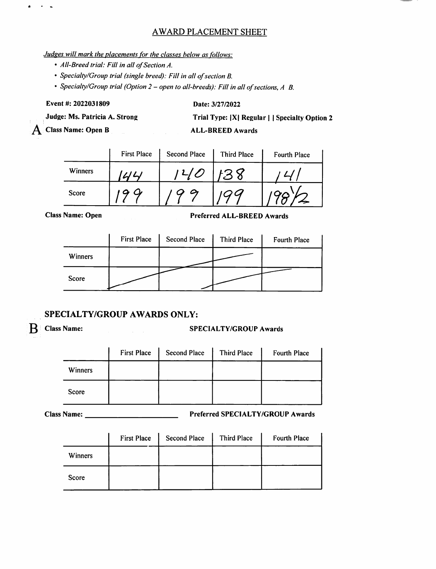# AWARD PLACEMENT SHEET

### Judges will mark the placements for the classes below as follows:

- All-Breed trial: Fill in all of Section A.
- Specialty/Group trial (single breed): Fill in all of section B.
- Specialty/Group trial (Option 2 open to all-breeds): Fill in all of sections, A B.

Event #; 2022031809

 $\sim$   $\sim$ 

 $\bullet$ 

Date: 3/27/2022

Judge: Ms. Patricia A. Strong

 $\overline{A}$  Class Name: Open B

Trial Type: |X| Regular | | Specialty Option 2

ALL-BREED Awards

|         | <b>First Place</b> | <b>Second Place</b> | <b>Third Place</b> | Fourth Place |
|---------|--------------------|---------------------|--------------------|--------------|
| Winners |                    |                     | ر -                |              |
| Score   |                    |                     |                    |              |

Class Name: Open Preferred ALL-BREED Awards

|         | <b>First Place</b> | <b>Second Place</b> | <b>Third Place</b> | Fourth Place |
|---------|--------------------|---------------------|--------------------|--------------|
| Winners |                    |                     |                    |              |
| Score   |                    |                     |                    |              |

## SPECIALTY/GROUP AWARDS ONLY:

# $\mathbf{B}$  Class Name: SPECIALTY/GROUP Awards

|         | <b>First Place</b> | <b>Second Place</b> | Third Place | Fourth Place |
|---------|--------------------|---------------------|-------------|--------------|
| Winners |                    |                     |             |              |
| Score   |                    |                     |             |              |

Name: Preferred SPECIALTY/GROUP Awards

|                | <b>First Place</b> | <b>Second Place</b> | Third Place | <b>Fourth Place</b> |
|----------------|--------------------|---------------------|-------------|---------------------|
| <b>Winners</b> |                    |                     |             |                     |
| Score          |                    |                     |             |                     |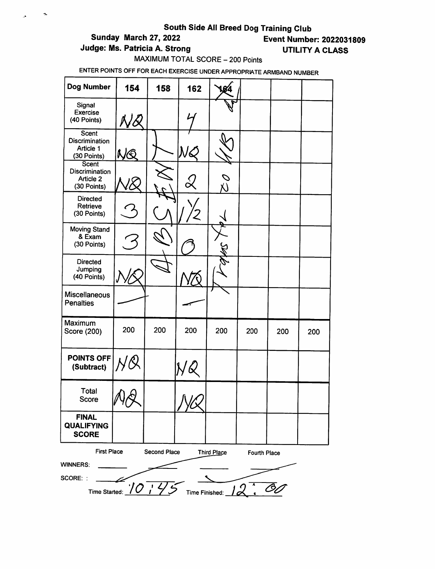# South Side All Breed Dog Training Club<br>Event Numbe<br>Event Numbe

 $\sim$ 

 $\lambda$ 

**Event Number: 2022031809** 

Judge: Ms. Patricia A. Strong UTILITY A CLASS

# MAXIMUM TOTAL SCORE - 200 Points

| <b>Dog Number</b>                                                                                  | 154                                                       | 158 | 162          |     |     |     |     |  |
|----------------------------------------------------------------------------------------------------|-----------------------------------------------------------|-----|--------------|-----|-----|-----|-----|--|
| Signal<br><b>Exercise</b><br>(40 Points)                                                           |                                                           |     |              |     |     |     |     |  |
| Scent<br>Discrimination<br>Article 1<br>(30 Points)                                                | KË<br>A,                                                  |     |              |     |     |     |     |  |
| <b>Scent</b><br><b>Discrimination</b><br>Article 2<br>(30 Points)                                  |                                                           |     |              |     |     |     |     |  |
| <b>Directed</b><br>Retrieve<br>(30 Points)                                                         |                                                           |     |              |     |     |     |     |  |
| <b>Moving Stand</b><br>& Exam<br>(30 Points)                                                       |                                                           |     |              |     |     |     |     |  |
| <b>Directed</b><br>Jumping<br>(40 Points)                                                          |                                                           |     |              |     |     |     |     |  |
| Miscellaneous<br><b>Penalties</b>                                                                  |                                                           |     |              |     |     |     |     |  |
| Maximum<br>Score (200)                                                                             | 200                                                       | 200 | 200          | 200 | 200 | 200 | 200 |  |
| POINTS OFF<br>(Subtract)                                                                           |                                                           |     |              |     |     |     |     |  |
| <b>Total</b><br>Score                                                                              | V<br><b>YU</b>                                            |     | $\Lambda$ IX |     |     |     |     |  |
| <b>FINAL</b><br><b>QUALIFYING</b><br><b>SCORE</b>                                                  |                                                           |     |              |     |     |     |     |  |
| <b>First Place</b><br><b>Second Place</b><br>Third Place<br><b>Fourth Place</b><br><b>WINNERS:</b> |                                                           |     |              |     |     |     |     |  |
| SCORE: :                                                                                           | Time Started: $10 \cdot 175$ Time Finished: $12 \cdot 60$ |     |              |     |     |     |     |  |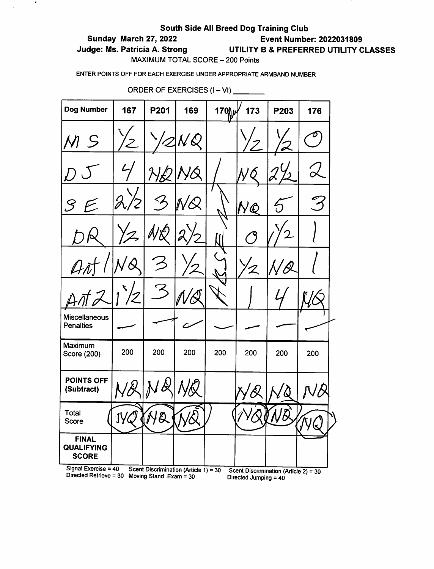## South Side All Breed Dog Training Club Sunday March 27, 2022 Event Number: 2022031809 Judge: Ms. Patricia A. Strong UTILITY B & PREFERRED UTILITY CLASSES MAXIMUM TOTAL SCORE - 200 Points

ENTER POINTS OFF FOR EACH EXERCISE UNDER APPROPRIATE ARMBAND NUMBER

| <b>Dog Number</b>                                  | 167         | P201                                                              | 169 | 170 | 173                   | P203                                  | 176 |
|----------------------------------------------------|-------------|-------------------------------------------------------------------|-----|-----|-----------------------|---------------------------------------|-----|
| $\mathcal{M}$<br>$\mathcal{S}$                     |             |                                                                   |     |     |                       |                                       |     |
|                                                    |             |                                                                   |     |     |                       |                                       |     |
| ${\mathcal S}$                                     | J           |                                                                   |     |     | NQ                    |                                       | 3   |
|                                                    |             |                                                                   |     |     |                       |                                       |     |
|                                                    |             |                                                                   |     |     | $\boldsymbol{Z}$      | $\pmb{\mathcal{Q}}$                   |     |
|                                                    |             |                                                                   |     |     |                       |                                       |     |
| <b>Miscellaneous</b><br><b>Penalties</b>           |             |                                                                   |     |     |                       |                                       |     |
| Maximum<br>Score (200)                             | 200         | 200                                                               | 200 | 200 | 200                   | 200                                   | 200 |
| <b>POINTS OFF</b><br>(Subtract)                    |             |                                                                   |     |     |                       |                                       |     |
| Total<br>Score                                     | $1\sqrt{Q}$ | (Ne                                                               | MQ  |     |                       |                                       | كا  |
| <b>FINAL</b><br><b>QUALIFYING</b><br><b>SCORE</b>  |             |                                                                   |     |     |                       |                                       |     |
| Signal Exercise = $40$<br>Directed Retrieve = $30$ |             | Scent Discrimination (Article 1) = 30<br>Moving Stand $Exam = 30$ |     |     | Directed Jumping = 40 | Scent Discrimination (Article 2) = 30 |     |

ORDER OF EXERCISES (I - VI)

 $\bullet$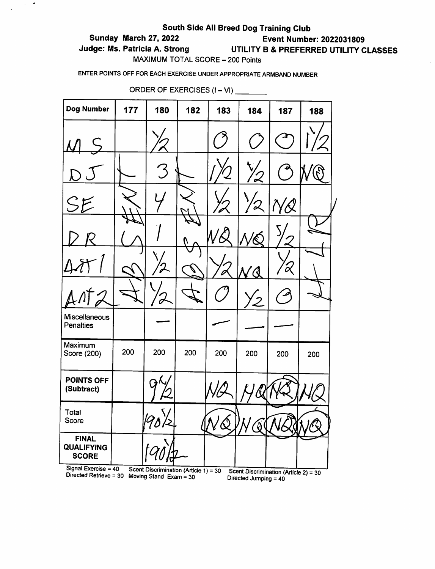## South Side All Breed Dog Training Club

# Sunday March 27, 2022 Event Number: 2022031809

 $\bullet$ 

# Judge: Ms. Patricia A. Strong UTILITY B & PREFERRED UTILITY CLASSES

MAXIMUM TOTAL SCORE - 200 Points

ENTER POINTS OFF FOR EACH EXERCISE UNDER APPROPRIATE ARMBAND NUMBER

| <b>Dog Number</b>                                                         | 177 | 180                                   | 182 | 183      | 184       | 187       | 188 |
|---------------------------------------------------------------------------|-----|---------------------------------------|-----|----------|-----------|-----------|-----|
|                                                                           |     |                                       |     |          |           |           |     |
| L                                                                         |     | 3                                     |     |          |           |           |     |
| SE                                                                        |     |                                       |     |          | $\Omega'$ |           |     |
|                                                                           |     |                                       |     |          |           |           |     |
|                                                                           |     |                                       |     |          | Q         | $\alpha'$ |     |
|                                                                           |     |                                       |     |          |           |           |     |
| Miscellaneous<br><b>Penalties</b>                                         |     |                                       |     |          |           |           |     |
| Maximum<br>Score (200)                                                    | 200 | 200                                   | 200 | 200      | 200       | 200       | 200 |
| <b>POINTS OFF</b><br>(Subtract)                                           |     |                                       |     |          |           |           |     |
| <b>Total</b><br>Score                                                     |     | \/<br>$\overline{D}$<br>190/2         |     | $\omega$ | ′∂        |           |     |
| <b>FINAL</b><br><b>QUALIFYING</b><br><b>SCORE</b><br>Signal Exercise = 40 |     | Scent Discrimination (Article 1) = 30 |     |          |           |           |     |

ORDER OF EXERCISES  $(I - VI)$ 

yr-iii and the community of the book of the set in the community of the community of the community of the comm<br>Directed Jumping = 40  $(e^z) = 30$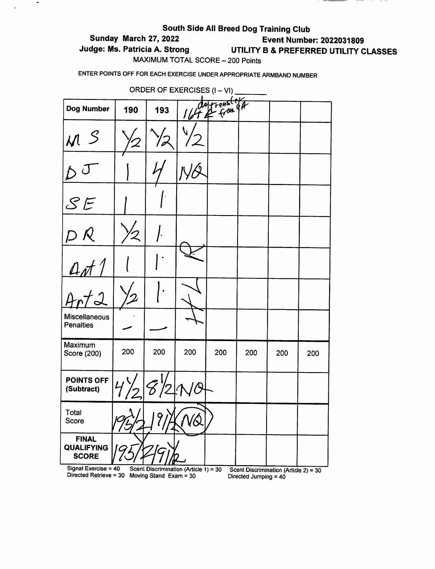# South Side All Breed Dog Training Club Sunday March 27, 2022 Event Number: 2022031809 Judge: Ms. Patricia A. Strong UTILITY B & PREFERRED UTILITY CLASSES MAXIMUM TOTAL SCORE - 200 Points

 $\frac{1}{2} \left( \frac{1}{2} \right) \left( \frac{1}{2} \right) \left( \frac{1}{2} \right) \left( \frac{1}{2} \right) \left( \frac{1}{2} \right) \left( \frac{1}{2} \right) \left( \frac{1}{2} \right) \left( \frac{1}{2} \right) \left( \frac{1}{2} \right) \left( \frac{1}{2} \right) \left( \frac{1}{2} \right) \left( \frac{1}{2} \right) \left( \frac{1}{2} \right) \left( \frac{1}{2} \right) \left( \frac{1}{2} \right) \left( \frac{1}{2} \right) \left( \frac$ 

ENTER POINTS OFF FOR EACH EXERCISE UNDER APPROPRIATE ARMBAND NUMBER

 $\bullet$ 

 $\ddot{\phantom{1}}$ 

| <b>ORDER OF EXERCISES (I - VI)</b>                |                |                                                                    |     |            |                       |                                       |     |  |  |
|---------------------------------------------------|----------------|--------------------------------------------------------------------|-----|------------|-----------------------|---------------------------------------|-----|--|--|
| Dog Number                                        | 190            | 193                                                                |     | let & from |                       |                                       |     |  |  |
| M S                                               |                |                                                                    | U.  |            |                       |                                       |     |  |  |
|                                                   |                |                                                                    |     |            |                       |                                       |     |  |  |
| SE                                                |                |                                                                    |     |            |                       |                                       |     |  |  |
| $D$ $R$                                           | ゾ2             |                                                                    |     |            |                       |                                       |     |  |  |
|                                                   |                |                                                                    |     |            |                       |                                       |     |  |  |
| $\frac{\Delta \pi}{4}$                            |                |                                                                    |     |            |                       |                                       |     |  |  |
| <b>Miscellaneous</b><br><b>Penalties</b>          |                |                                                                    |     |            |                       |                                       |     |  |  |
| Maximum<br>Score (200)                            | 200            | 200                                                                | 200 | 200        | 200                   | 200                                   | 200 |  |  |
| POINTS OFF<br>(Subtract)                          | $ 4\rangle\!/$ | そり                                                                 |     |            |                       |                                       |     |  |  |
| Total<br>Score                                    |                |                                                                    | VQ  |            |                       |                                       |     |  |  |
| <b>FINAL</b><br><b>QUALIFYING</b><br><b>SCORE</b> |                |                                                                    |     |            |                       |                                       |     |  |  |
| Signal Exercise = 40<br>Directed Retrieve = $30$  |                | Scent Discrimination (Article $1$ ) = 30<br>Moving Stand Exam = 30 |     |            | Directed Jumping = 40 | Scent Discrimination (Article 2) = 30 |     |  |  |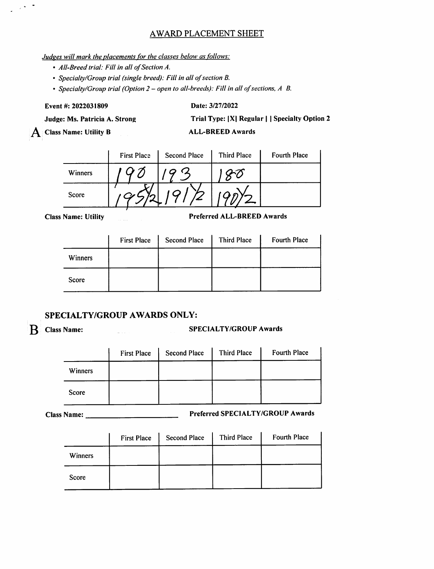## AWARD PLACEMENT SHEET

### Judges will mark the placements for the classes below as follows:

- AII-Breed trial: Fill in all of Section A.
- Specialty/Group trial (single breed): Fill in all of section B.
- Specialty/Group trial (Option  $2$  open to all-breeds): Fill in all of sections,  $A$   $B$ .

Event#: 2022031809

 $\sim$   $\sim$ 

### Date: 3/27/2022

Judge: Ms. Patricia A. Strong

A Class Name: Utility B

Trial Type: |X| Regular | | Specialty Option 2

ALL-BREED Awards

|         | <b>First Place</b> | <b>Second Place</b> | <b>Third Place</b> | <b>Fourth Place</b> |
|---------|--------------------|---------------------|--------------------|---------------------|
| Winners |                    |                     |                    |                     |
| Score   |                    |                     |                    |                     |

Class Name: Utility **Preferred ALL-BREED Awards** 

|         | <b>First Place</b> | <b>Second Place</b> | <b>Third Place</b> | Fourth Place |
|---------|--------------------|---------------------|--------------------|--------------|
| Winners |                    |                     |                    |              |
| Score   |                    |                     |                    |              |

## SPECIALTY/GROUP AWARDS ONLY:

# B Class Name: SPECIALTY/GROUP Awards

|              | <b>First Place</b> | <b>Second Place</b> | <b>Third Place</b> | Fourth Place |
|--------------|--------------------|---------------------|--------------------|--------------|
| Winners      |                    |                     |                    |              |
| <b>Score</b> |                    |                     |                    |              |

Name: Preferred SPECIALTY/GROUP Awards

|         | <b>First Place</b> | <b>Second Place</b> | Third Place | <b>Fourth Place</b> |
|---------|--------------------|---------------------|-------------|---------------------|
| Winners |                    |                     |             |                     |
| Score   |                    |                     |             |                     |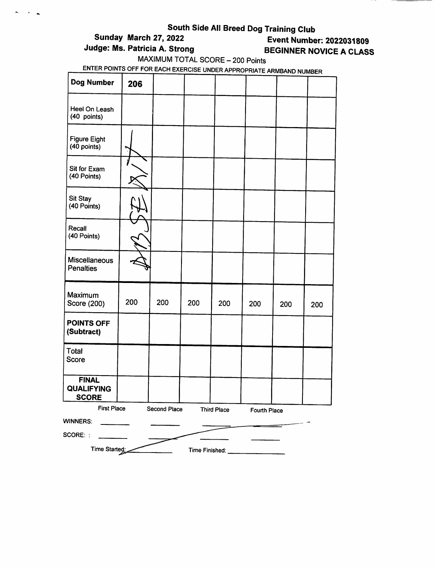$\sim$  $\mathcal{F}^{\mathcal{F}}$  . As

# **Event Number: 2022031809** Judge: Ms. Patricia A. Strong BEGINNER NOVICE A CLASS

MAXIMUM TOTAL SCORE - 200 Points<br>ENTER POINTS OFF FOR EACH EXERCISE UNDER APPROPRIATE ARMBAND NUMBER

| Dog Number                                        | 206 |              |                |                    |              |     |     |
|---------------------------------------------------|-----|--------------|----------------|--------------------|--------------|-----|-----|
| Heel On Leash<br>(40 points)                      |     |              |                |                    |              |     |     |
| <b>Figure Eight</b><br>(40 points)                |     |              |                |                    |              |     |     |
| Sit for Exam<br>(40 Points)                       |     |              |                |                    |              |     |     |
| Sit Stay<br>(40 Points)                           |     |              |                |                    |              |     |     |
| Recall<br>(40 Points)                             |     |              |                |                    |              |     |     |
| Miscellaneous<br><b>Penalties</b>                 |     |              |                |                    |              |     |     |
| Maximum<br>Score (200)                            | 200 | 200          | 200            | 200                | 200          | 200 | 200 |
| <b>POINTS OFF</b><br>(Subtract)                   |     |              |                |                    |              |     |     |
| Total<br><b>Score</b>                             |     |              |                |                    |              |     |     |
| <b>FINAL</b><br><b>QUALIFYING</b><br><b>SCORE</b> |     |              |                |                    |              |     |     |
| <b>First Place</b>                                |     | Second Place |                | <b>Third Place</b> | Fourth Place |     |     |
| WINNERS:                                          |     |              |                |                    |              |     |     |
| SCORE: :                                          |     |              |                |                    |              |     |     |
| Time Started:                                     |     |              | Time Finished: |                    |              |     |     |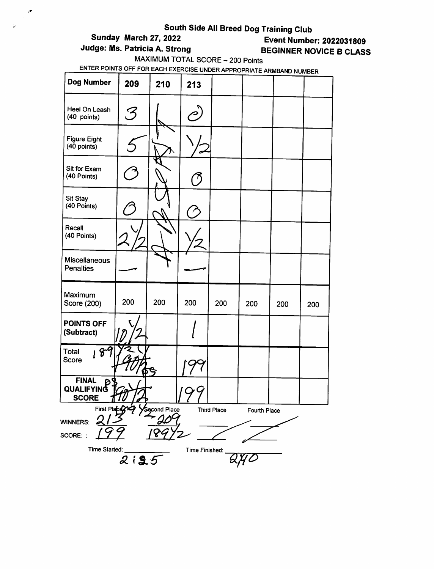$\mathbb{R}^n$ 

 $\varphi$ 

# **Event Number: 2022031809** Judge: Ms. Patricia A. Strong BEGINNER NOVICE B CLASS

MAXIMUM TOTAL SCORE - 200 Points

| <b>Dog Number</b>                          | 209        | 210         | 213            |                    |              |     |     |
|--------------------------------------------|------------|-------------|----------------|--------------------|--------------|-----|-----|
| Heel On Leash<br>(40 points)               | ${\cal S}$ |             |                |                    |              |     |     |
| <b>Figure Eight</b><br>(40 points)         |            |             |                |                    |              |     |     |
| Sit for Exam<br>(40 Points)                |            |             |                |                    |              |     |     |
| Sit Stay<br>(40 Points)                    |            |             |                |                    |              |     |     |
| Recall<br>(40 Points)                      |            |             |                |                    |              |     |     |
| Miscellaneous<br><b>Penalties</b>          |            |             |                |                    |              |     |     |
| Maximum<br>Score (200)                     | 200        | 200         | 200            | 200                | 200          | 200 | 200 |
| POINTS OFF<br>(Subtract)                   |            |             |                |                    |              |     |     |
| Total<br>18 <sup>o</sup><br>Score          |            |             |                |                    |              |     |     |
| <b>FINAL</b><br>QUALIFYING<br><u>SCORE</u> |            |             |                |                    |              |     |     |
| First Place<br>WINNERS:<br>SCORE: :        |            | econd Place |                | <b>Third Place</b> | Fourth Place |     |     |
| Time Started:                              | 2135       |             | Time Finished: |                    |              |     |     |